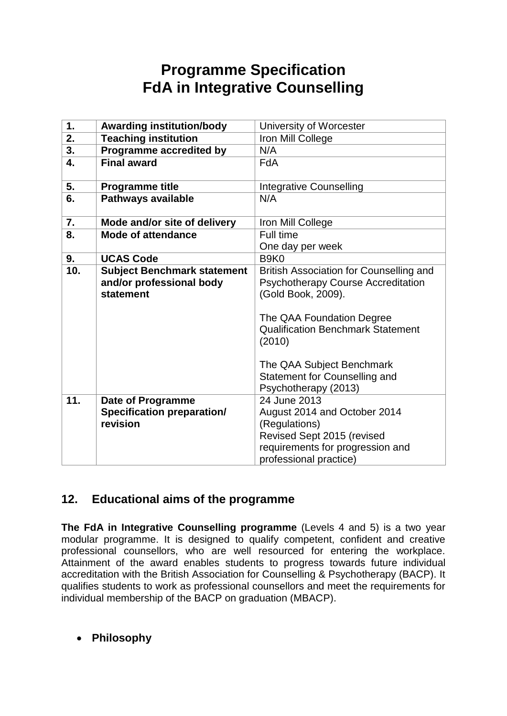# **Programme Specification FdA in Integrative Counselling**

| 1.  | <b>Awarding institution/body</b>                                            | University of Worcester                                                                                                                                                                                                                                                                    |
|-----|-----------------------------------------------------------------------------|--------------------------------------------------------------------------------------------------------------------------------------------------------------------------------------------------------------------------------------------------------------------------------------------|
| 2.  | <b>Teaching institution</b>                                                 | Iron Mill College                                                                                                                                                                                                                                                                          |
| 3.  | Programme accredited by                                                     | N/A                                                                                                                                                                                                                                                                                        |
| 4.  | <b>Final award</b>                                                          | <b>FdA</b>                                                                                                                                                                                                                                                                                 |
| 5.  | <b>Programme title</b>                                                      | <b>Integrative Counselling</b>                                                                                                                                                                                                                                                             |
| 6.  | <b>Pathways available</b>                                                   | N/A                                                                                                                                                                                                                                                                                        |
| 7.  | Mode and/or site of delivery                                                | Iron Mill College                                                                                                                                                                                                                                                                          |
| 8.  | <b>Mode of attendance</b>                                                   | Full time                                                                                                                                                                                                                                                                                  |
|     |                                                                             | One day per week                                                                                                                                                                                                                                                                           |
| 9.  | <b>UCAS Code</b>                                                            | B <sub>9</sub> K <sub>0</sub>                                                                                                                                                                                                                                                              |
| 10. | <b>Subject Benchmark statement</b><br>and/or professional body<br>statement | British Association for Counselling and<br><b>Psychotherapy Course Accreditation</b><br>(Gold Book, 2009).<br>The QAA Foundation Degree<br><b>Qualification Benchmark Statement</b><br>(2010)<br>The QAA Subject Benchmark<br><b>Statement for Counselling and</b><br>Psychotherapy (2013) |
| 11. | <b>Date of Programme</b><br><b>Specification preparation/</b><br>revision   | 24 June 2013<br>August 2014 and October 2014<br>(Regulations)<br>Revised Sept 2015 (revised<br>requirements for progression and<br>professional practice)                                                                                                                                  |

# **12. Educational aims of the programme**

**The FdA in Integrative Counselling programme** (Levels 4 and 5) is a two year modular programme. It is designed to qualify competent, confident and creative professional counsellors, who are well resourced for entering the workplace. Attainment of the award enables students to progress towards future individual accreditation with the British Association for Counselling & Psychotherapy (BACP). It qualifies students to work as professional counsellors and meet the requirements for individual membership of the BACP on graduation (MBACP).

**Philosophy**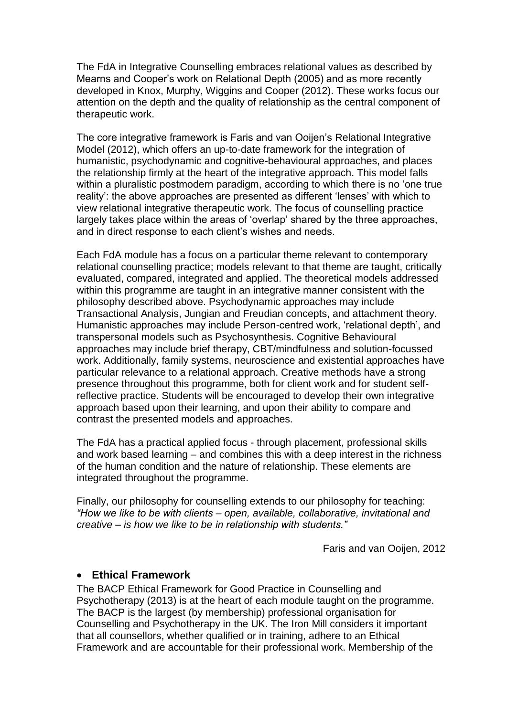The FdA in Integrative Counselling embraces relational values as described by Mearns and Cooper's work on Relational Depth (2005) and as more recently developed in Knox, Murphy, Wiggins and Cooper (2012). These works focus our attention on the depth and the quality of relationship as the central component of therapeutic work.

The core integrative framework is Faris and van Ooijen's Relational Integrative Model (2012), which offers an up-to-date framework for the integration of humanistic, psychodynamic and cognitive-behavioural approaches, and places the relationship firmly at the heart of the integrative approach. This model falls within a pluralistic postmodern paradigm, according to which there is no 'one true reality': the above approaches are presented as different 'lenses' with which to view relational integrative therapeutic work. The focus of counselling practice largely takes place within the areas of 'overlap' shared by the three approaches, and in direct response to each client's wishes and needs.

Each FdA module has a focus on a particular theme relevant to contemporary relational counselling practice; models relevant to that theme are taught, critically evaluated, compared, integrated and applied. The theoretical models addressed within this programme are taught in an integrative manner consistent with the philosophy described above. Psychodynamic approaches may include Transactional Analysis, Jungian and Freudian concepts, and attachment theory. Humanistic approaches may include Person-centred work, 'relational depth', and transpersonal models such as Psychosynthesis. Cognitive Behavioural approaches may include brief therapy, CBT/mindfulness and solution-focussed work. Additionally, family systems, neuroscience and existential approaches have particular relevance to a relational approach. Creative methods have a strong presence throughout this programme, both for client work and for student selfreflective practice. Students will be encouraged to develop their own integrative approach based upon their learning, and upon their ability to compare and contrast the presented models and approaches.

The FdA has a practical applied focus - through placement, professional skills and work based learning – and combines this with a deep interest in the richness of the human condition and the nature of relationship. These elements are integrated throughout the programme.

Finally, our philosophy for counselling extends to our philosophy for teaching: *"How we like to be with clients – open, available, collaborative, invitational and creative – is how we like to be in relationship with students."*

Faris and van Ooijen, 2012

#### **Ethical Framework**

The BACP Ethical Framework for Good Practice in Counselling and Psychotherapy (2013) is at the heart of each module taught on the programme. The BACP is the largest (by membership) professional organisation for Counselling and Psychotherapy in the UK. The Iron Mill considers it important that all counsellors, whether qualified or in training, adhere to an Ethical Framework and are accountable for their professional work. Membership of the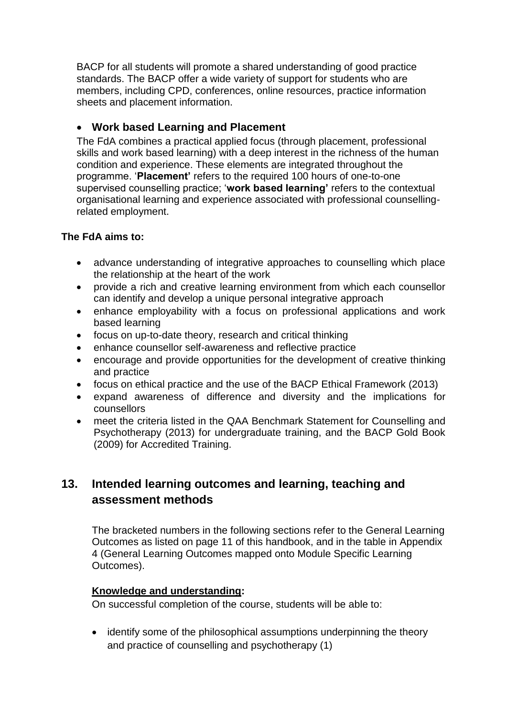BACP for all students will promote a shared understanding of good practice standards. The BACP offer a wide variety of support for students who are members, including CPD, conferences, online resources, practice information sheets and placement information.

# **Work based Learning and Placement**

The FdA combines a practical applied focus (through placement, professional skills and work based learning) with a deep interest in the richness of the human condition and experience. These elements are integrated throughout the programme. '**Placement'** refers to the required 100 hours of one-to-one supervised counselling practice; '**work based learning'** refers to the contextual organisational learning and experience associated with professional counsellingrelated employment.

# **The FdA aims to:**

- advance understanding of integrative approaches to counselling which place the relationship at the heart of the work
- provide a rich and creative learning environment from which each counsellor can identify and develop a unique personal integrative approach
- enhance employability with a focus on professional applications and work based learning
- focus on up-to-date theory, research and critical thinking
- enhance counsellor self-awareness and reflective practice
- encourage and provide opportunities for the development of creative thinking and practice
- focus on ethical practice and the use of the BACP Ethical Framework (2013)
- expand awareness of difference and diversity and the implications for counsellors
- meet the criteria listed in the QAA Benchmark Statement for Counselling and Psychotherapy (2013) for undergraduate training, and the BACP Gold Book (2009) for Accredited Training.

# **13. Intended learning outcomes and learning, teaching and assessment methods**

The bracketed numbers in the following sections refer to the General Learning Outcomes as listed on page 11 of this handbook, and in the table in Appendix 4 (General Learning Outcomes mapped onto Module Specific Learning Outcomes).

### **Knowledge and understanding:**

On successful completion of the course, students will be able to:

• identify some of the philosophical assumptions underpinning the theory and practice of counselling and psychotherapy (1)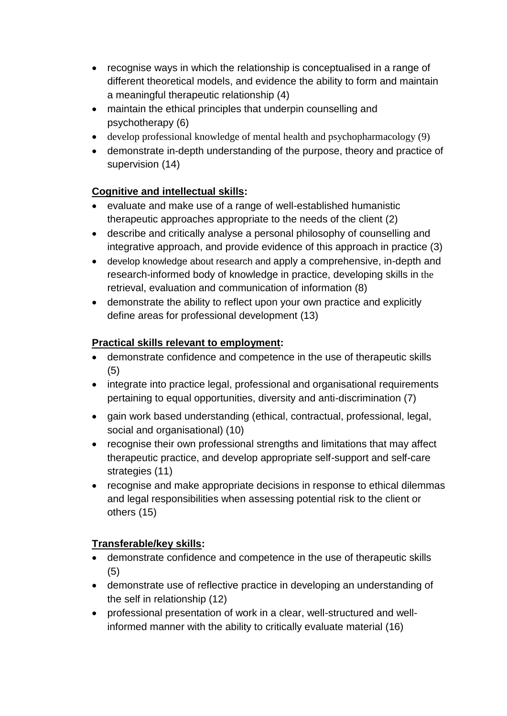- recognise ways in which the relationship is conceptualised in a range of different theoretical models, and evidence the ability to form and maintain a meaningful therapeutic relationship (4)
- maintain the ethical principles that underpin counselling and psychotherapy (6)
- develop professional knowledge of mental health and psychopharmacology (9)
- demonstrate in-depth understanding of the purpose, theory and practice of supervision (14)

# **Cognitive and intellectual skills:**

- evaluate and make use of a range of well-established humanistic therapeutic approaches appropriate to the needs of the client (2)
- describe and critically analyse a personal philosophy of counselling and integrative approach, and provide evidence of this approach in practice (3)
- develop knowledge about research and apply a comprehensive, in-depth and research-informed body of knowledge in practice, developing skills in the retrieval, evaluation and communication of information (8)
- demonstrate the ability to reflect upon your own practice and explicitly define areas for professional development (13)

# **Practical skills relevant to employment:**

- demonstrate confidence and competence in the use of therapeutic skills (5)
- integrate into practice legal, professional and organisational requirements pertaining to equal opportunities, diversity and anti-discrimination (7)
- gain work based understanding (ethical, contractual, professional, legal, social and organisational) (10)
- recognise their own professional strengths and limitations that may affect therapeutic practice, and develop appropriate self-support and self-care strategies (11)
- recognise and make appropriate decisions in response to ethical dilemmas and legal responsibilities when assessing potential risk to the client or others (15)

# **Transferable/key skills:**

- demonstrate confidence and competence in the use of therapeutic skills (5)
- demonstrate use of reflective practice in developing an understanding of the self in relationship (12)
- professional presentation of work in a clear, well-structured and wellinformed manner with the ability to critically evaluate material (16)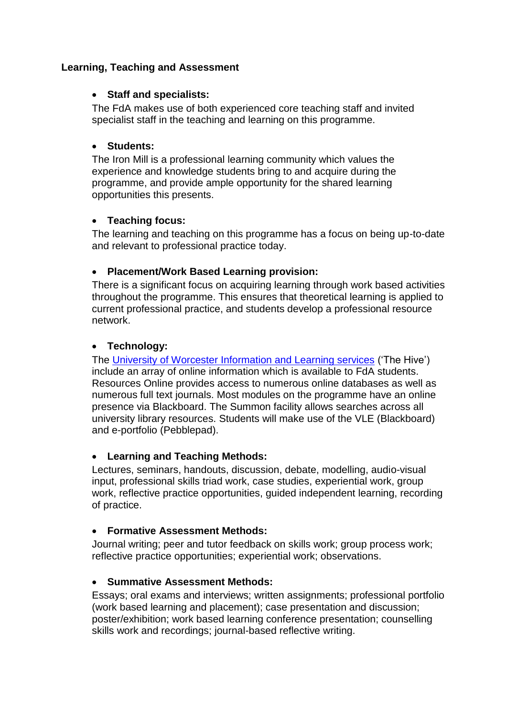#### **Learning, Teaching and Assessment**

#### **Staff and specialists:**

The FdA makes use of both experienced core teaching staff and invited specialist staff in the teaching and learning on this programme.

#### **Students:**

The Iron Mill is a professional learning community which values the experience and knowledge students bring to and acquire during the programme, and provide ample opportunity for the shared learning opportunities this presents.

### **Teaching focus:**

The learning and teaching on this programme has a focus on being up-to-date and relevant to professional practice today.

#### **Placement/Work Based Learning provision:**

There is a significant focus on acquiring learning through work based activities throughout the programme. This ensures that theoretical learning is applied to current professional practice, and students develop a professional resource network.

#### **Technology:**

The [University of Worcester Information and Learning services](http://www.worc.ac.uk/ils/) ('The Hive') include an array of online information which is available to FdA students. Resources Online provides access to numerous online databases as well as numerous full text journals. Most modules on the programme have an online presence via Blackboard. The Summon facility allows searches across all university library resources. Students will make use of the VLE (Blackboard) and e-portfolio (Pebblepad).

### **Learning and Teaching Methods:**

Lectures, seminars, handouts, discussion, debate, modelling, audio-visual input, professional skills triad work, case studies, experiential work, group work, reflective practice opportunities, guided independent learning, recording of practice.

#### **Formative Assessment Methods:**

Journal writing; peer and tutor feedback on skills work; group process work; reflective practice opportunities; experiential work; observations.

### **Summative Assessment Methods:**

Essays; oral exams and interviews; written assignments; professional portfolio (work based learning and placement); case presentation and discussion; poster/exhibition; work based learning conference presentation; counselling skills work and recordings; journal-based reflective writing.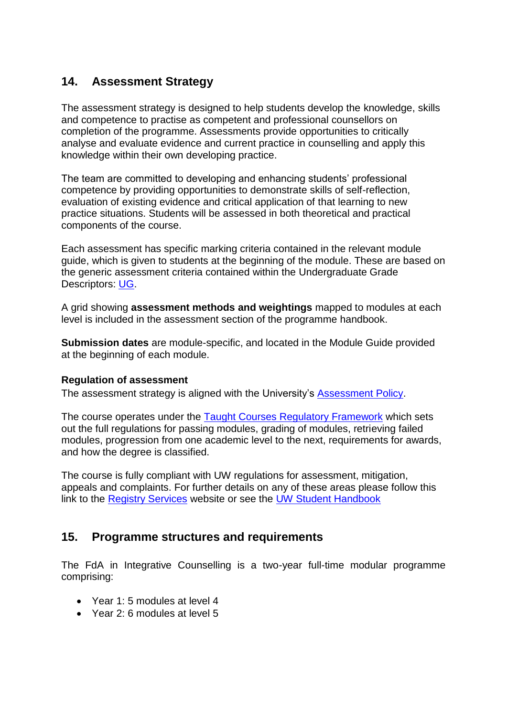# **14. Assessment Strategy**

The assessment strategy is designed to help students develop the knowledge, skills and competence to practise as competent and professional counsellors on completion of the programme. Assessments provide opportunities to critically analyse and evaluate evidence and current practice in counselling and apply this knowledge within their own developing practice.

The team are committed to developing and enhancing students' professional competence by providing opportunities to demonstrate skills of self-reflection, evaluation of existing evidence and critical application of that learning to new practice situations. Students will be assessed in both theoretical and practical components of the course.

Each assessment has specific marking criteria contained in the relevant module guide, which is given to students at the beginning of the module. These are based on the generic assessment criteria contained within the Undergraduate Grade Descriptors: [UG.](http://www.worc.ac.uk/aqu/documents/GenericUndergraduateGradeDescriptors.pdf)

A grid showing **assessment methods and weightings** mapped to modules at each level is included in the assessment section of the programme handbook.

**Submission dates** are module-specific, and located in the Module Guide provided at the beginning of each module.

#### **Regulation of assessment**

The assessment strategy is aligned with the University's [Assessment Policy.](http://www.worc.ac.uk/aqu/documents/AssessmentPolicy.pdf)

The course operates under the [Taught Courses Regulatory Framework](http://www.worcester.ac.uk/registryservices/documents/TaughtCoursesRegulatoryFramework.pdf) which sets out the full regulations for passing modules, grading of modules, retrieving failed modules, progression from one academic level to the next, requirements for awards, and how the degree is classified.

The course is fully compliant with UW regulations for assessment, mitigation, appeals and complaints. For further details on any of these areas please follow this link to the [Registry Services](http://www.worc.ac.uk/registryservices/) website or see the [UW Student Handbook](http://www.worcester.ac.uk/registryservices/666.htm)

# **15. Programme structures and requirements**

The FdA in Integrative Counselling is a two-year full-time modular programme comprising:

- Year 1: 5 modules at level 4
- Year 2: 6 modules at level 5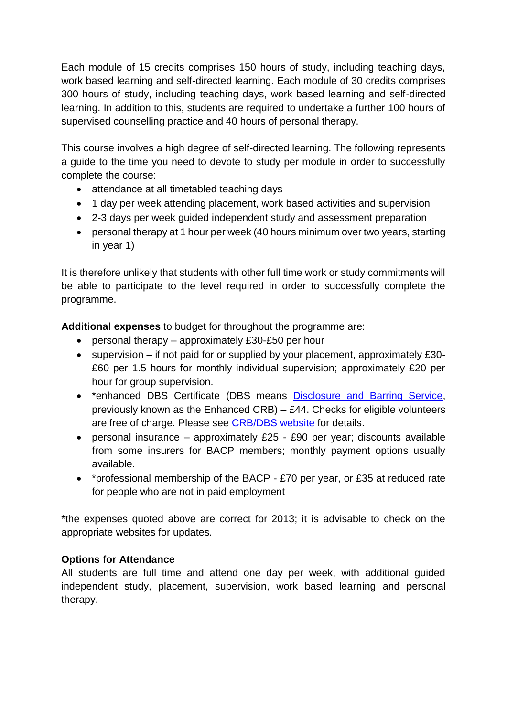Each module of 15 credits comprises 150 hours of study, including teaching days, work based learning and self-directed learning. Each module of 30 credits comprises 300 hours of study, including teaching days, work based learning and self-directed learning. In addition to this, students are required to undertake a further 100 hours of supervised counselling practice and 40 hours of personal therapy.

This course involves a high degree of self-directed learning. The following represents a guide to the time you need to devote to study per module in order to successfully complete the course:

- attendance at all timetabled teaching days
- 1 day per week attending placement, work based activities and supervision
- 2-3 days per week guided independent study and assessment preparation
- personal therapy at 1 hour per week (40 hours minimum over two years, starting in year 1)

It is therefore unlikely that students with other full time work or study commitments will be able to participate to the level required in order to successfully complete the programme.

**Additional expenses** to budget for throughout the programme are:

- **•** personal therapy approximately £30-£50 per hour
- $\bullet$  supervision if not paid for or supplied by your placement, approximately £30-£60 per 1.5 hours for monthly individual supervision; approximately £20 per hour for group supervision.
- \*enhanced DBS Certificate (DBS means [Disclosure and Barring Service,](https://www.gov.uk/government/organisations/disclosure-and-barring-service/about) previously known as the Enhanced CRB) – £44. Checks for eligible volunteers are free of charge. Please see [CRB/DBS website](https://www.gov.uk/crb-criminal-records-bureau-check/overview) for details.
- personal insurance approximately £25 £90 per year; discounts available from some insurers for BACP members; monthly payment options usually available.
- \*professional membership of the BACP £70 per year, or £35 at reduced rate for people who are not in paid employment

\*the expenses quoted above are correct for 2013; it is advisable to check on the appropriate websites for updates.

# **Options for Attendance**

All students are full time and attend one day per week, with additional guided independent study, placement, supervision, work based learning and personal therapy.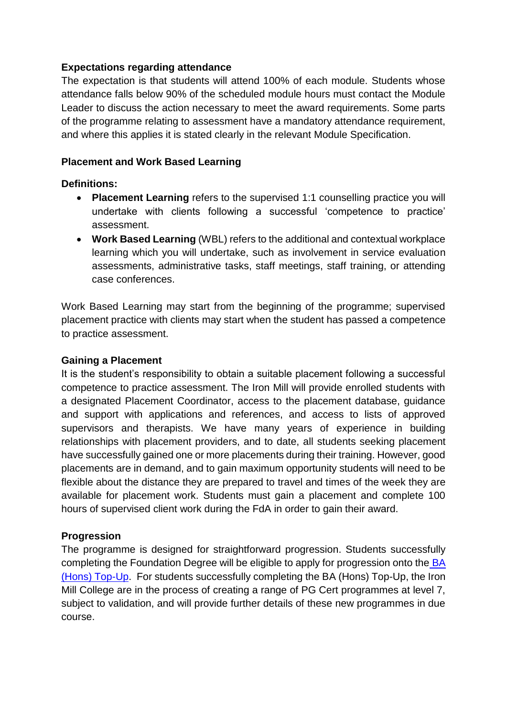#### **Expectations regarding attendance**

The expectation is that students will attend 100% of each module. Students whose attendance falls below 90% of the scheduled module hours must contact the Module Leader to discuss the action necessary to meet the award requirements. Some parts of the programme relating to assessment have a mandatory attendance requirement, and where this applies it is stated clearly in the relevant Module Specification.

#### **Placement and Work Based Learning**

#### **Definitions:**

- **Placement Learning** refers to the supervised 1:1 counselling practice you will undertake with clients following a successful 'competence to practice' assessment.
- **Work Based Learning** (WBL) refers to the additional and contextual workplace learning which you will undertake, such as involvement in service evaluation assessments, administrative tasks, staff meetings, staff training, or attending case conferences.

Work Based Learning may start from the beginning of the programme; supervised placement practice with clients may start when the student has passed a competence to practice assessment.

#### **Gaining a Placement**

It is the student's responsibility to obtain a suitable placement following a successful competence to practice assessment. The Iron Mill will provide enrolled students with a designated Placement Coordinator, access to the placement database, guidance and support with applications and references, and access to lists of approved supervisors and therapists. We have many years of experience in building relationships with placement providers, and to date, all students seeking placement have successfully gained one or more placements during their training. However, good placements are in demand, and to gain maximum opportunity students will need to be flexible about the distance they are prepared to travel and times of the week they are available for placement work. Students must gain a placement and complete 100 hours of supervised client work during the FdA in order to gain their award.

### **Progression**

The programme is designed for straightforward progression. Students successfully completing the Foundation Degree will be eligible to apply for progression onto the [BA](http://www.ironmill.co.uk/counselling-courses/ba-in-integrative-counselling)  [\(Hons\) Top-Up.](http://www.ironmill.co.uk/counselling-courses/ba-in-integrative-counselling) For students successfully completing the BA (Hons) Top-Up, the Iron Mill College are in the process of creating a range of PG Cert programmes at level 7, subject to validation, and will provide further details of these new programmes in due course.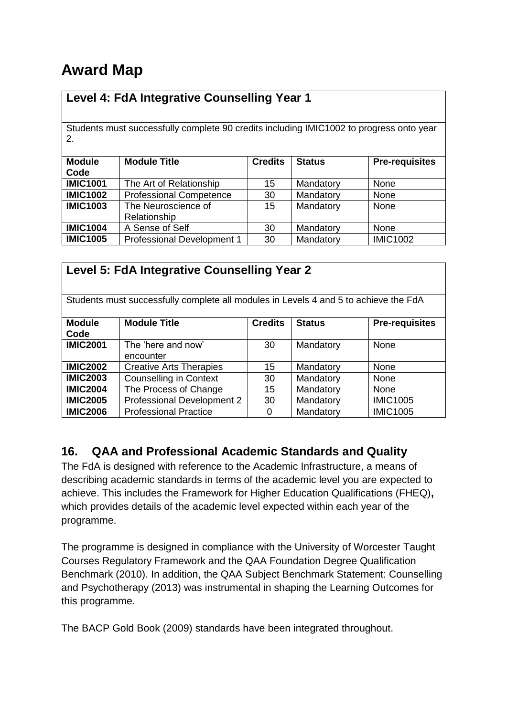# **Award Map**

# **Level 4: FdA Integrative Counselling Year 1**

Students must successfully complete 90 credits including IMIC1002 to progress onto year 2.

| <b>Module</b><br>Code | <b>Module Title</b>                 | <b>Credits</b> | <b>Status</b> | <b>Pre-requisites</b> |
|-----------------------|-------------------------------------|----------------|---------------|-----------------------|
| <b>IMIC1001</b>       | The Art of Relationship             | 15             | Mandatory     | None                  |
| <b>IMIC1002</b>       | <b>Professional Competence</b>      | 30             | Mandatory     | None                  |
| <b>IMIC1003</b>       | The Neuroscience of<br>Relationship | 15             | Mandatory     | None                  |
| <b>IMIC1004</b>       | A Sense of Self                     | 30             | Mandatory     | None                  |
| <b>IMIC1005</b>       | Professional Development 1          | 30             | Mandatory     | <b>IMIC1002</b>       |

| Level 5: FdA Integrative Counselling Year 2                                          |                                |                |               |                       |  |
|--------------------------------------------------------------------------------------|--------------------------------|----------------|---------------|-----------------------|--|
|                                                                                      |                                |                |               |                       |  |
| Students must successfully complete all modules in Levels 4 and 5 to achieve the FdA |                                |                |               |                       |  |
|                                                                                      |                                |                |               |                       |  |
| <b>Module</b>                                                                        | <b>Module Title</b>            | <b>Credits</b> | <b>Status</b> | <b>Pre-requisites</b> |  |
| Code                                                                                 |                                |                |               |                       |  |
| <b>IMIC2001</b>                                                                      | The 'here and now'             | 30             | Mandatory     | None                  |  |
|                                                                                      | encounter                      |                |               |                       |  |
| <b>IMIC2002</b>                                                                      | <b>Creative Arts Therapies</b> | 15             | Mandatory     | None                  |  |
| <b>IMIC2003</b>                                                                      | <b>Counselling in Context</b>  | 30             | Mandatory     | <b>None</b>           |  |
| <b>IMIC2004</b>                                                                      | The Process of Change          | 15             | Mandatory     | None                  |  |
| <b>IMIC2005</b>                                                                      | Professional Development 2     | 30             | Mandatory     | <b>IMIC1005</b>       |  |
| <b>IMIC2006</b>                                                                      | <b>Professional Practice</b>   | 0              | Mandatory     | <b>IMIC1005</b>       |  |

# **16. QAA and Professional Academic Standards and Quality**

The FdA is designed with reference to the Academic Infrastructure, a means of describing academic standards in terms of the academic level you are expected to achieve. This includes the Framework for Higher Education Qualifications (FHEQ)**,**  which provides details of the academic level expected within each year of the programme.

The programme is designed in compliance with the University of Worcester Taught Courses Regulatory Framework and the QAA Foundation Degree Qualification Benchmark (2010). In addition, the QAA Subject Benchmark Statement: Counselling and Psychotherapy (2013) was instrumental in shaping the Learning Outcomes for this programme.

The BACP Gold Book (2009) standards have been integrated throughout.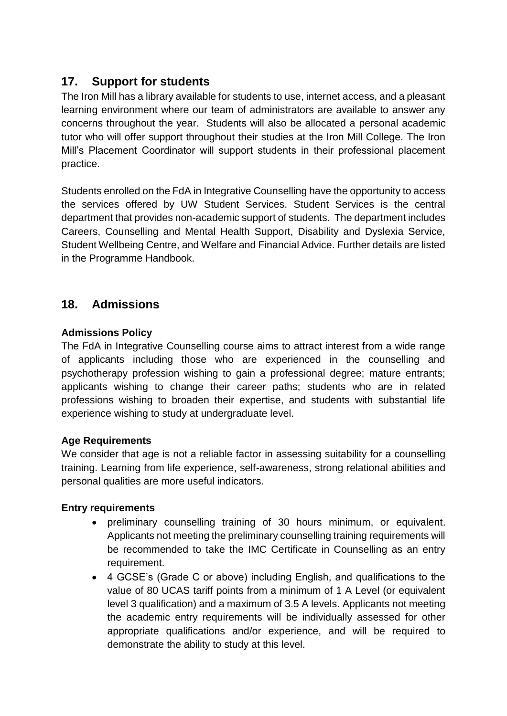# **17. Support for students**

The Iron Mill has a library available for students to use, internet access, and a pleasant learning environment where our team of administrators are available to answer any concerns throughout the year. Students will also be allocated a personal academic tutor who will offer support throughout their studies at the Iron Mill College. The Iron Mill's Placement Coordinator will support students in their professional placement practice.

Students enrolled on the FdA in Integrative Counselling have the opportunity to access the services offered by UW Student Services. Student Services is the central department that provides non-academic support of students. The department includes Careers, Counselling and Mental Health Support, Disability and Dyslexia Service, Student Wellbeing Centre, and Welfare and Financial Advice. Further details are listed in the Programme Handbook.

# **18. Admissions**

# **Admissions Policy**

The FdA in Integrative Counselling course aims to attract interest from a wide range of applicants including those who are experienced in the counselling and psychotherapy profession wishing to gain a professional degree; mature entrants; applicants wishing to change their career paths; students who are in related professions wishing to broaden their expertise, and students with substantial life experience wishing to study at undergraduate level.

### **Age Requirements**

We consider that age is not a reliable factor in assessing suitability for a counselling training. Learning from life experience, self-awareness, strong relational abilities and personal qualities are more useful indicators.

### **Entry requirements**

- preliminary counselling training of 30 hours minimum, or equivalent. Applicants not meeting the preliminary counselling training requirements will be recommended to take the IMC Certificate in Counselling as an entry requirement.
- 4 GCSE's (Grade C or above) including English, and qualifications to the value of 80 UCAS tariff points from a minimum of 1 A Level (or equivalent level 3 qualification) and a maximum of 3.5 A levels. Applicants not meeting the academic entry requirements will be individually assessed for other appropriate qualifications and/or experience, and will be required to demonstrate the ability to study at this level.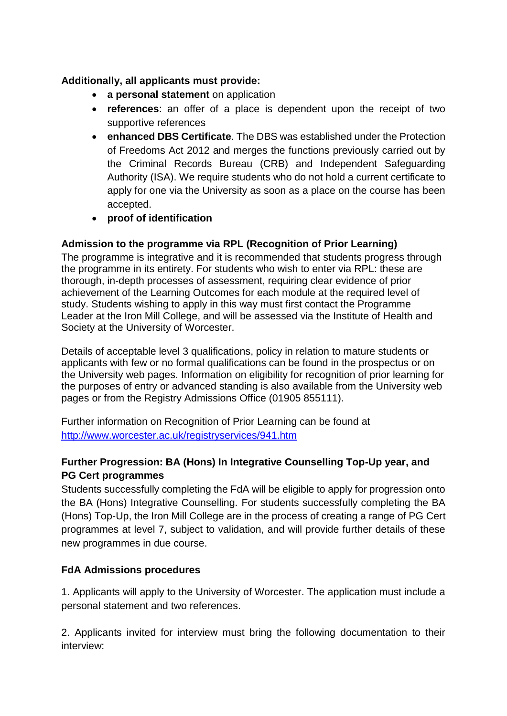## **Additionally, all applicants must provide:**

- **a personal statement** on application
- **references**: an offer of a place is dependent upon the receipt of two supportive references
- **enhanced DBS Certificate**. The DBS was established under the Protection of Freedoms Act 2012 and merges the functions previously carried out by the Criminal Records Bureau (CRB) and Independent Safeguarding Authority (ISA). We require students who do not hold a current certificate to apply for one via the University as soon as a place on the course has been accepted.
- **proof of identification**

# **Admission to the programme via RPL (Recognition of Prior Learning)**

The programme is integrative and it is recommended that students progress through the programme in its entirety. For students who wish to enter via RPL: these are thorough, in-depth processes of assessment, requiring clear evidence of prior achievement of the Learning Outcomes for each module at the required level of study. Students wishing to apply in this way must first contact the Programme Leader at the Iron Mill College, and will be assessed via the Institute of Health and Society at the University of Worcester.

Details of acceptable level 3 qualifications, policy in relation to mature students or applicants with few or no formal qualifications can be found in the prospectus or on the University web pages. Information on eligibility for recognition of prior learning for the purposes of entry or advanced standing is also available from the University web pages or from the Registry Admissions Office (01905 855111).

Further information on Recognition of Prior Learning can be found at <http://www.worcester.ac.uk/registryservices/941.htm>

# **Further Progression: BA (Hons) In Integrative Counselling Top-Up year, and PG Cert programmes**

Students successfully completing the FdA will be eligible to apply for progression onto the BA (Hons) Integrative Counselling. For students successfully completing the BA (Hons) Top-Up, the Iron Mill College are in the process of creating a range of PG Cert programmes at level 7, subject to validation, and will provide further details of these new programmes in due course.

# **FdA Admissions procedures**

1. Applicants will apply to the University of Worcester. The application must include a personal statement and two references.

2. Applicants invited for interview must bring the following documentation to their interview: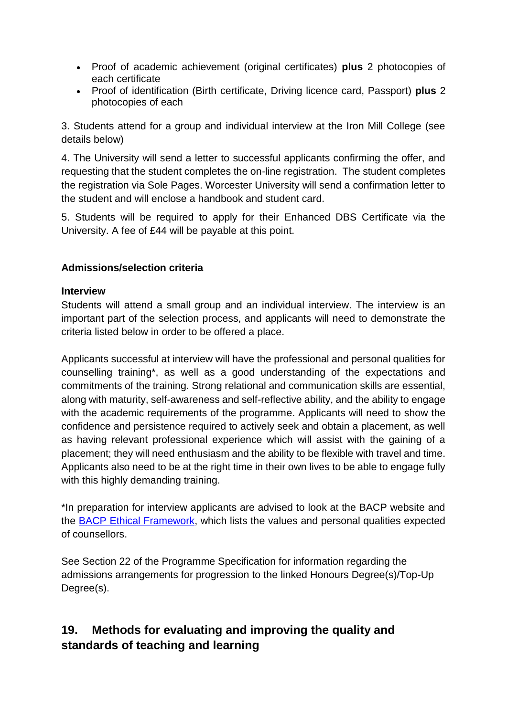- Proof of academic achievement (original certificates) **plus** 2 photocopies of each certificate
- Proof of identification (Birth certificate, Driving licence card, Passport) **plus** 2 photocopies of each

3. Students attend for a group and individual interview at the Iron Mill College (see details below)

4. The University will send a letter to successful applicants confirming the offer, and requesting that the student completes the on-line registration. The student completes the registration via Sole Pages. Worcester University will send a confirmation letter to the student and will enclose a handbook and student card.

5. Students will be required to apply for their Enhanced DBS Certificate via the University. A fee of £44 will be payable at this point.

# **Admissions/selection criteria**

#### **Interview**

Students will attend a small group and an individual interview. The interview is an important part of the selection process, and applicants will need to demonstrate the criteria listed below in order to be offered a place.

Applicants successful at interview will have the professional and personal qualities for counselling training\*, as well as a good understanding of the expectations and commitments of the training. Strong relational and communication skills are essential, along with maturity, self-awareness and self-reflective ability, and the ability to engage with the academic requirements of the programme. Applicants will need to show the confidence and persistence required to actively seek and obtain a placement, as well as having relevant professional experience which will assist with the gaining of a placement; they will need enthusiasm and the ability to be flexible with travel and time. Applicants also need to be at the right time in their own lives to be able to engage fully with this highly demanding training.

\*In preparation for interview applicants are advised to look at the BACP website and the [BACP Ethical Framework,](http://www.bacp.co.uk/) which lists the values and personal qualities expected of counsellors.

See Section 22 of the Programme Specification for information regarding the admissions arrangements for progression to the linked Honours Degree(s)/Top-Up Degree(s).

# **19. Methods for evaluating and improving the quality and standards of teaching and learning**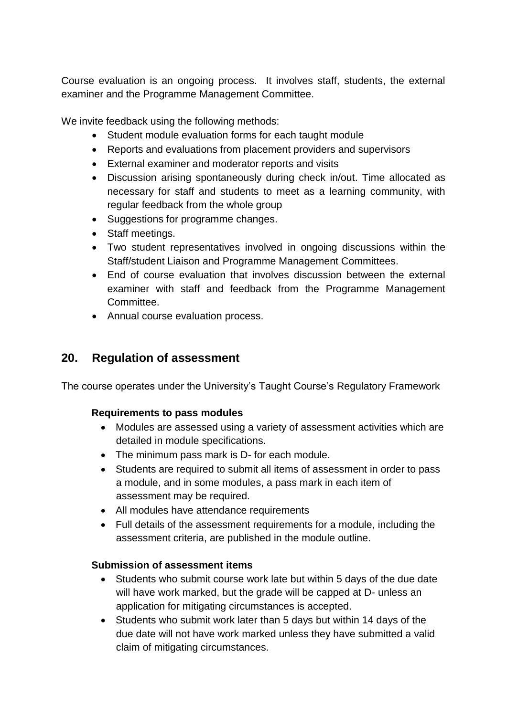Course evaluation is an ongoing process. It involves staff, students, the external examiner and the Programme Management Committee.

We invite feedback using the following methods:

- Student module evaluation forms for each taught module
- Reports and evaluations from placement providers and supervisors
- External examiner and moderator reports and visits
- Discussion arising spontaneously during check in/out. Time allocated as necessary for staff and students to meet as a learning community, with regular feedback from the whole group
- Suggestions for programme changes.
- Staff meetings.
- Two student representatives involved in ongoing discussions within the Staff/student Liaison and Programme Management Committees.
- End of course evaluation that involves discussion between the external examiner with staff and feedback from the Programme Management Committee.
- Annual course evaluation process.

# **20. Regulation of assessment**

The course operates under the University's Taught Course's Regulatory Framework

### **Requirements to pass modules**

- Modules are assessed using a variety of assessment activities which are detailed in module specifications.
- The minimum pass mark is D- for each module.
- Students are required to submit all items of assessment in order to pass a module, and in some modules, a pass mark in each item of assessment may be required.
- All modules have attendance requirements
- Full details of the assessment requirements for a module, including the assessment criteria, are published in the module outline.

### **Submission of assessment items**

- Students who submit course work late but within 5 days of the due date will have work marked, but the grade will be capped at D- unless an application for mitigating circumstances is accepted.
- Students who submit work later than 5 days but within 14 days of the due date will not have work marked unless they have submitted a valid claim of mitigating circumstances.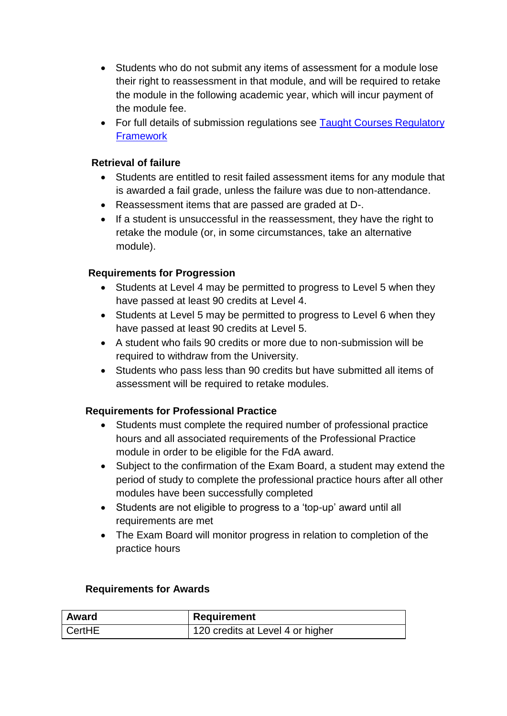- Students who do not submit any items of assessment for a module lose their right to reassessment in that module, and will be required to retake the module in the following academic year, which will incur payment of the module fee.
- For full details of submission regulations see Taught Courses Regulatory **[Framework](http://www.worcester.ac.uk/registryservices/documents/TaughtCoursesRegulatoryFramework.pdf)**

### **Retrieval of failure**

- Students are entitled to resit failed assessment items for any module that is awarded a fail grade, unless the failure was due to non-attendance.
- Reassessment items that are passed are graded at D-.
- If a student is unsuccessful in the reassessment, they have the right to retake the module (or, in some circumstances, take an alternative module).

# **Requirements for Progression**

- Students at Level 4 may be permitted to progress to Level 5 when they have passed at least 90 credits at Level 4.
- Students at Level 5 may be permitted to progress to Level 6 when they have passed at least 90 credits at Level 5.
- A student who fails 90 credits or more due to non-submission will be required to withdraw from the University.
- Students who pass less than 90 credits but have submitted all items of assessment will be required to retake modules.

# **Requirements for Professional Practice**

- Students must complete the required number of professional practice hours and all associated requirements of the Professional Practice module in order to be eligible for the FdA award.
- Subject to the confirmation of the Exam Board, a student may extend the period of study to complete the professional practice hours after all other modules have been successfully completed
- Students are not eligible to progress to a 'top-up' award until all requirements are met
- The Exam Board will monitor progress in relation to completion of the practice hours

### **Requirements for Awards**

| <b>Award</b> | Requirement                      |
|--------------|----------------------------------|
| l CertHE     | 120 credits at Level 4 or higher |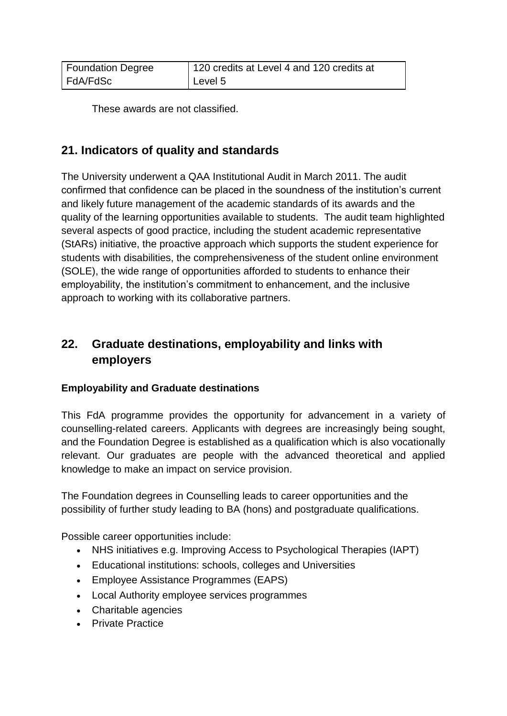| <b>Foundation Degree</b> | 120 credits at Level 4 and 120 credits at |
|--------------------------|-------------------------------------------|
| FdA/FdSc                 | Level 5                                   |

These awards are not classified.

# **21. Indicators of quality and standards**

The University underwent a QAA Institutional Audit in March 2011. The audit confirmed that confidence can be placed in the soundness of the institution's current and likely future management of the academic standards of its awards and the quality of the learning opportunities available to students. The audit team highlighted several aspects of good practice, including the student academic representative (StARs) initiative, the proactive approach which supports the student experience for students with disabilities, the comprehensiveness of the student online environment (SOLE), the wide range of opportunities afforded to students to enhance their employability, the institution's commitment to enhancement, and the inclusive approach to working with its collaborative partners.

# **22. Graduate destinations, employability and links with employers**

### **Employability and Graduate destinations**

This FdA programme provides the opportunity for advancement in a variety of counselling-related careers. Applicants with degrees are increasingly being sought, and the Foundation Degree is established as a qualification which is also vocationally relevant. Our graduates are people with the advanced theoretical and applied knowledge to make an impact on service provision.

The Foundation degrees in Counselling leads to career opportunities and the possibility of further study leading to BA (hons) and postgraduate qualifications.

Possible career opportunities include:

- NHS initiatives e.g. Improving Access to Psychological Therapies (IAPT)
- Educational institutions: schools, colleges and Universities
- Employee Assistance Programmes (EAPS)
- Local Authority employee services programmes
- Charitable agencies
- Private Practice